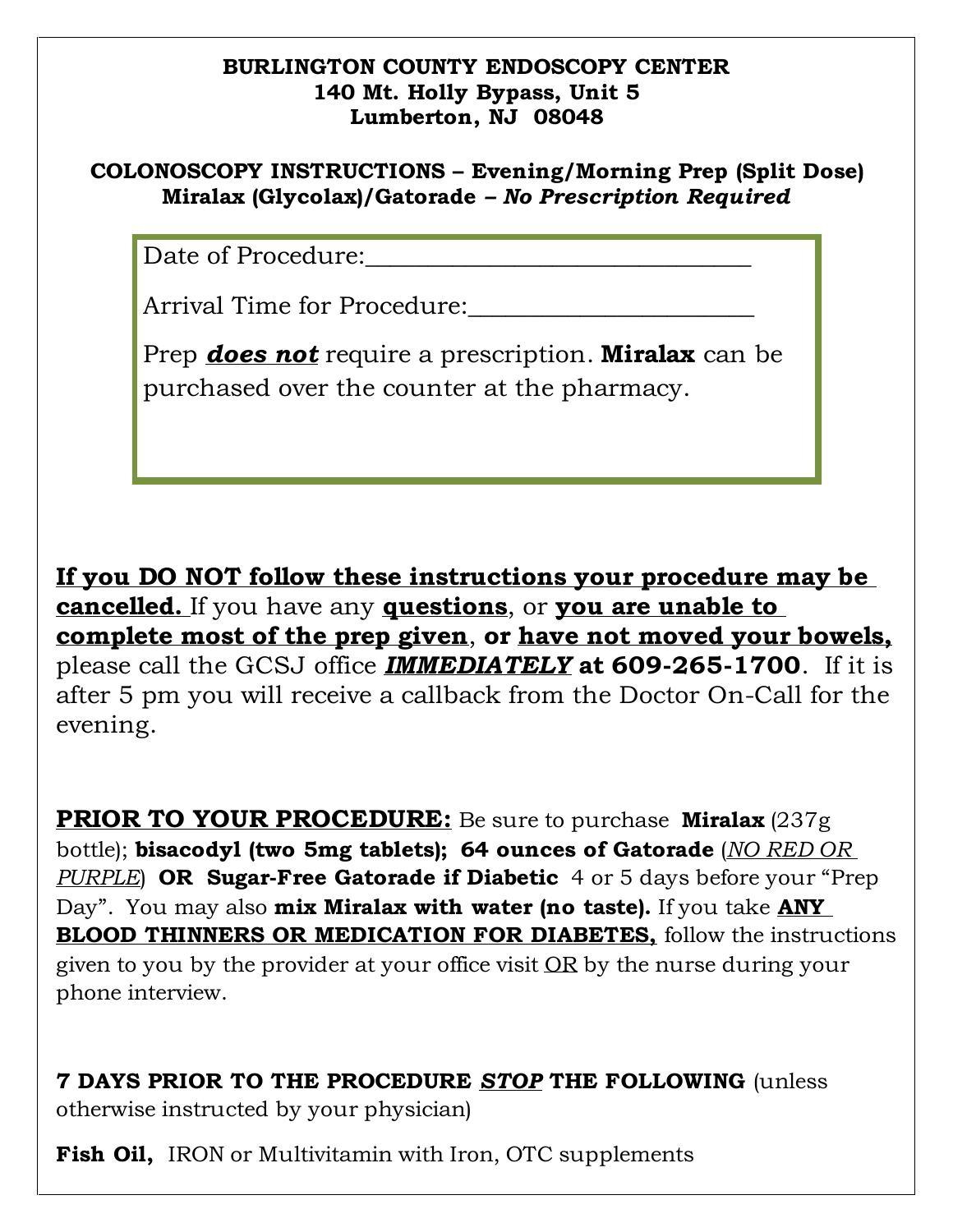## **BURLINGTON COUNTY ENDOSCOPY CENTER 140 Mt. Holly Bypass, Unit 5 Lumberton, NJ 08048**

## **COLONOSCOPY INSTRUCTIONS – Evening/Morning Prep (Split Dose) Miralax (Glycolax)/Gatorade** *– No Prescription Required*

Date of Procedure:

Arrival Time for Procedure:

Prep *does not* require a prescription. **Miralax** can be purchased over the counter at the pharmacy.

**If you DO NOT follow these instructions your procedure may be cancelled.** If you have any **questions**, or **you are unable to complete most of the prep given**, **or have not moved your bowels,** please call the GCSJ office *IMMEDIATELY* **at 609-265-1700**. If it is after 5 pm you will receive a callback from the Doctor On-Call for the evening.

**PRIOR TO YOUR PROCEDURE:** Be sure to purchase **Miralax** (237g bottle); **bisacodyl (two 5mg tablets); 64 ounces of Gatorade** (*NO RED OR PURPLE*) **OR Sugar-Free Gatorade if Diabetic** 4 or 5 days before your "Prep Day". You may also **mix Miralax with water (no taste).** If you take **ANY BLOOD THINNERS OR MEDICATION FOR DIABETES,** follow the instructions given to you by the provider at your office visit OR by the nurse during your phone interview.

**7 DAYS PRIOR TO THE PROCEDURE** *STOP* **THE FOLLOWING** (unless otherwise instructed by your physician)

**Fish Oil, IRON or Multivitamin with Iron, OTC supplements**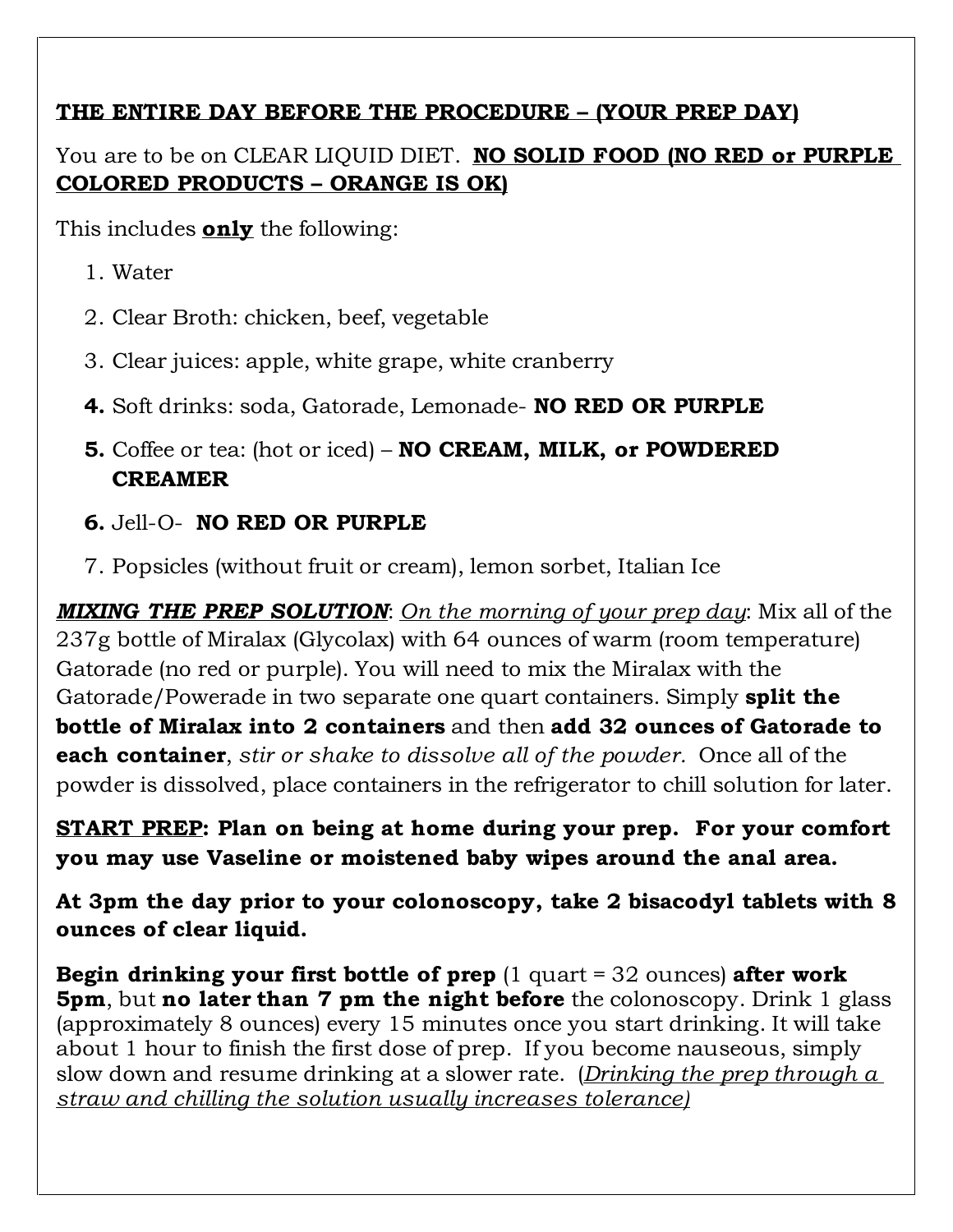## **THE ENTIRE DAY BEFORE THE PROCEDURE – (YOUR PREP DAY)**

You are to be on CLEAR LIQUID DIET. **NO SOLID FOOD (NO RED or PURPLE COLORED PRODUCTS – ORANGE IS OK)**

This includes **only** the following:

- 1. Water
- 2. Clear Broth: chicken, beef, vegetable
- 3. Clear juices: apple, white grape, white cranberry
- **4.** Soft drinks: soda, Gatorade, Lemonade- **NO RED OR PURPLE**
- **5.** Coffee or tea: (hot or iced) **NO CREAM, MILK, or POWDERED CREAMER**

## **6.** Jell-O- **NO RED OR PURPLE**

7. Popsicles (without fruit or cream), lemon sorbet, Italian Ice

*MIXING THE PREP SOLUTION*: *On the morning of your prep day*: Mix all of the 237g bottle of Miralax (Glycolax) with 64 ounces of warm (room temperature) Gatorade (no red or purple). You will need to mix the Miralax with the Gatorade/Powerade in two separate one quart containers. Simply **split the bottle of Miralax into 2 containers** and then **add 32 ounces of Gatorade to each container**, *stir or shake to dissolve all of the powder.* Once all of the powder is dissolved, place containers in the refrigerator to chill solution for later.

**START PREP: Plan on being at home during your prep. For your comfort you may use Vaseline or moistened baby wipes around the anal area.**

**At 3pm the day prior to your colonoscopy, take 2 bisacodyl tablets with 8 ounces of clear liquid.**

**Begin drinking your first bottle of prep** (1 quart = 32 ounces) **after work 5pm**, but **no later than 7 pm the night before** the colonoscopy. Drink 1 glass (approximately 8 ounces) every 15 minutes once you start drinking. It will take about 1 hour to finish the first dose of prep. If you become nauseous, simply slow down and resume drinking at a slower rate. (*Drinking the prep through a straw and chilling the solution usually increases tolerance)*